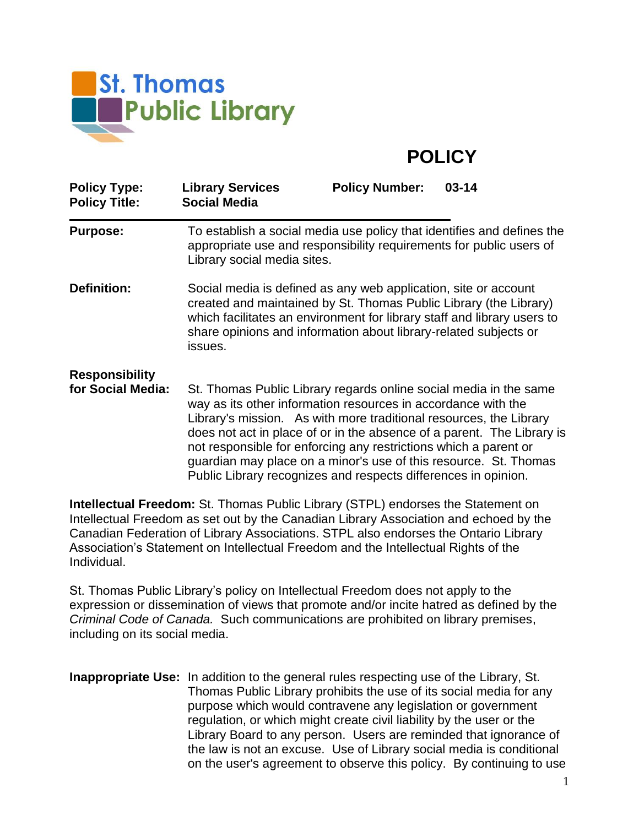

## **POLICY**

| <b>Policy Type:</b><br><b>Policy Title:</b> | <b>Library Services</b><br><b>Social Media</b>                                                                                                                                                                                                                                                                                                                                                                             | <b>Policy Number:</b> | $03 - 14$ |
|---------------------------------------------|----------------------------------------------------------------------------------------------------------------------------------------------------------------------------------------------------------------------------------------------------------------------------------------------------------------------------------------------------------------------------------------------------------------------------|-----------------------|-----------|
| <b>Purpose:</b>                             | To establish a social media use policy that identifies and defines the<br>appropriate use and responsibility requirements for public users of<br>Library social media sites.                                                                                                                                                                                                                                               |                       |           |
| <b>Definition:</b>                          | Social media is defined as any web application, site or account<br>created and maintained by St. Thomas Public Library (the Library)<br>which facilitates an environment for library staff and library users to<br>share opinions and information about library-related subjects or<br>issues.                                                                                                                             |                       |           |
| <b>Responsibility</b>                       |                                                                                                                                                                                                                                                                                                                                                                                                                            |                       |           |
| for Social Media:                           | St. Thomas Public Library regards online social media in the same<br>way as its other information resources in accordance with the<br>Library's mission. As with more traditional resources, the Library<br>does not act in place of or in the absence of a parent. The Library is<br>not responsible for enforcing any restrictions which a parent or<br>guardian may place on a minor's use of this resource. St. Thomas |                       |           |

**Intellectual Freedom:** St. Thomas Public Library (STPL) endorses the Statement on Intellectual Freedom as set out by the Canadian Library Association and echoed by the Canadian Federation of Library Associations. STPL also endorses the Ontario Library Association's Statement on Intellectual Freedom and the Intellectual Rights of the Individual.

Public Library recognizes and respects differences in opinion.

St. Thomas Public Library's policy on Intellectual Freedom does not apply to the expression or dissemination of views that promote and/or incite hatred as defined by the *Criminal Code of Canada.* Such communications are prohibited on library premises, including on its social media.

**Inappropriate Use:** In addition to the general rules respecting use of the Library, St. Thomas Public Library prohibits the use of its social media for any purpose which would contravene any legislation or government regulation, or which might create civil liability by the user or the Library Board to any person. Users are reminded that ignorance of the law is not an excuse. Use of Library social media is conditional on the user's agreement to observe this policy. By continuing to use